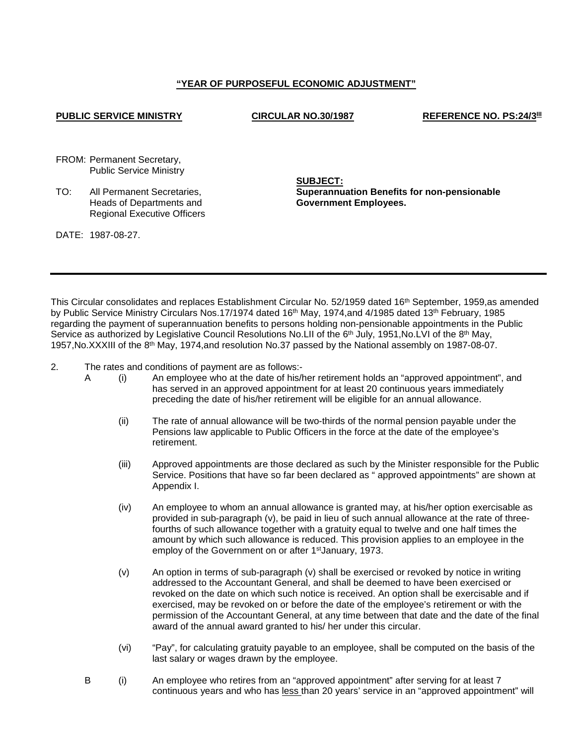# **"YEAR OF PURPOSEFUL ECONOMIC ADJUSTMENT"**

# **PUBLIC SERVICE MINISTRY CIRCULAR NO.30/1987 REFERENCE NO. PS:24/3III**

FROM: Permanent Secretary, Public Service Ministry

TO: All Permanent Secretaries, Heads of Departments and Regional Executive Officers **SUBJECT: Superannuation Benefits for non-pensionable Government Employees.**

DATE: 1987-08-27.

This Circular consolidates and replaces Establishment Circular No. 52/1959 dated 16th September, 1959,as amended by Public Service Ministry Circulars Nos.17/1974 dated 16<sup>th</sup> May, 1974, and 4/1985 dated 13<sup>th</sup> February, 1985 regarding the payment of superannuation benefits to persons holding non-pensionable appointments in the Public Service as authorized by Legislative Council Resolutions No.LII of the 6<sup>th</sup> July, 1951, No.LVI of the 8<sup>th</sup> May, 1957,No.XXXIII of the 8th May, 1974,and resolution No.37 passed by the National assembly on 1987-08-07.

2. The rates and conditions of payment are as follows:-

- A (i) An employee who at the date of his/her retirement holds an "approved appointment", and has served in an approved appointment for at least 20 continuous years immediately preceding the date of his/her retirement will be eligible for an annual allowance.
	- (ii) The rate of annual allowance will be two-thirds of the normal pension payable under the Pensions law applicable to Public Officers in the force at the date of the employee's retirement.
	- (iii) Approved appointments are those declared as such by the Minister responsible for the Public Service. Positions that have so far been declared as " approved appointments" are shown at Appendix I.
	- (iv) An employee to whom an annual allowance is granted may, at his/her option exercisable as provided in sub-paragraph (v), be paid in lieu of such annual allowance at the rate of threefourths of such allowance together with a gratuity equal to twelve and one half times the amount by which such allowance is reduced. This provision applies to an employee in the employ of the Government on or after 1stJanuary, 1973.
	- $(v)$  An option in terms of sub-paragraph  $(v)$  shall be exercised or revoked by notice in writing addressed to the Accountant General, and shall be deemed to have been exercised or revoked on the date on which such notice is received. An option shall be exercisable and if exercised, may be revoked on or before the date of the employee's retirement or with the permission of the Accountant General, at any time between that date and the date of the final award of the annual award granted to his/ her under this circular.
	- (vi) "Pay", for calculating gratuity payable to an employee, shall be computed on the basis of the last salary or wages drawn by the employee.
- B (i) An employee who retires from an "approved appointment" after serving for at least 7 continuous years and who has less than 20 years' service in an "approved appointment" will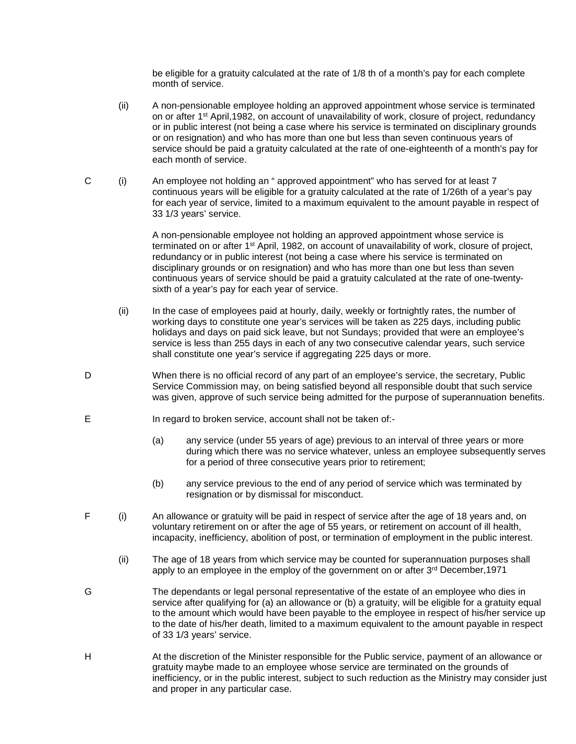be eligible for a gratuity calculated at the rate of 1/8 th of a month's pay for each complete month of service.

- (ii) A non-pensionable employee holding an approved appointment whose service is terminated on or after 1st April,1982, on account of unavailability of work, closure of project, redundancy or in public interest (not being a case where his service is terminated on disciplinary grounds or on resignation) and who has more than one but less than seven continuous years of service should be paid a gratuity calculated at the rate of one-eighteenth of a month's pay for each month of service.
- C (i) An employee not holding an " approved appointment" who has served for at least 7 continuous years will be eligible for a gratuity calculated at the rate of 1/26th of a year's pay for each year of service, limited to a maximum equivalent to the amount payable in respect of 33 1/3 years' service.

A non-pensionable employee not holding an approved appointment whose service is terminated on or after 1st April, 1982, on account of unavailability of work, closure of project, redundancy or in public interest (not being a case where his service is terminated on disciplinary grounds or on resignation) and who has more than one but less than seven continuous years of service should be paid a gratuity calculated at the rate of one-twentysixth of a year's pay for each year of service.

- (ii) In the case of employees paid at hourly, daily, weekly or fortnightly rates, the number of working days to constitute one year's services will be taken as 225 days, including public holidays and days on paid sick leave, but not Sundays; provided that were an employee's service is less than 255 days in each of any two consecutive calendar years, such service shall constitute one year's service if aggregating 225 days or more.
- D When there is no official record of any part of an employee's service, the secretary, Public Service Commission may, on being satisfied beyond all responsible doubt that such service was given, approve of such service being admitted for the purpose of superannuation benefits.
- E In regard to broken service, account shall not be taken of:-
	- (a) any service (under 55 years of age) previous to an interval of three years or more during which there was no service whatever, unless an employee subsequently serves for a period of three consecutive years prior to retirement;
	- (b) any service previous to the end of any period of service which was terminated by resignation or by dismissal for misconduct.
- F (i) An allowance or gratuity will be paid in respect of service after the age of 18 years and, on voluntary retirement on or after the age of 55 years, or retirement on account of ill health, incapacity, inefficiency, abolition of post, or termination of employment in the public interest.
	- (ii) The age of 18 years from which service may be counted for superannuation purposes shall apply to an employee in the employ of the government on or after 3<sup>rd</sup> December, 1971
- G The dependants or legal personal representative of the estate of an employee who dies in service after qualifying for (a) an allowance or (b) a gratuity, will be eligible for a gratuity equal to the amount which would have been payable to the employee in respect of his/her service up to the date of his/her death, limited to a maximum equivalent to the amount payable in respect of 33 1/3 years' service.
- H At the discretion of the Minister responsible for the Public service, payment of an allowance or gratuity maybe made to an employee whose service are terminated on the grounds of inefficiency, or in the public interest, subject to such reduction as the Ministry may consider just and proper in any particular case.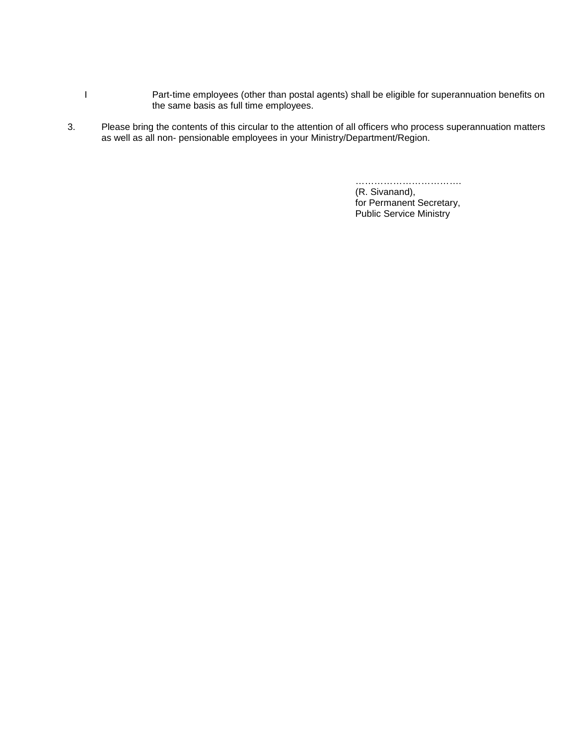- I Part-time employees (other than postal agents) shall be eligible for superannuation benefits on the same basis as full time employees.
- 3. Please bring the contents of this circular to the attention of all officers who process superannuation matters as well as all non- pensionable employees in your Ministry/Department/Region.

……………………………. (R. Sivanand), for Permanent Secretary, Public Service Ministry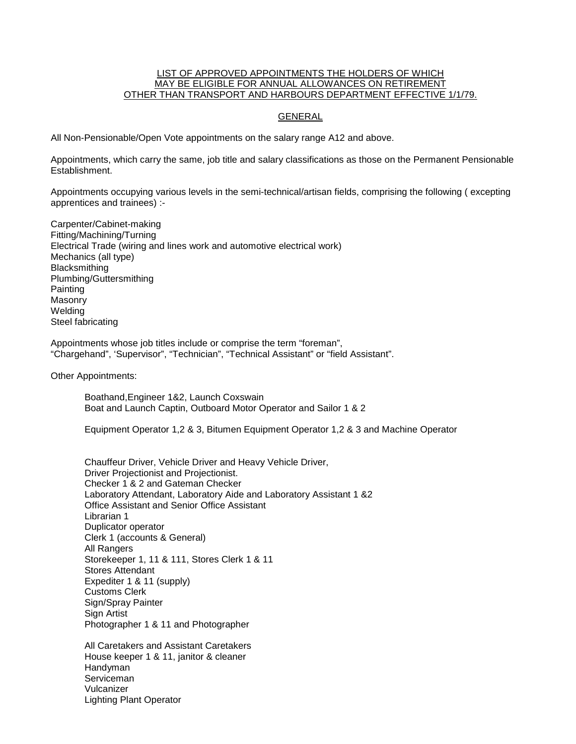## LIST OF APPROVED APPOINTMENTS THE HOLDERS OF WHICH MAY BE ELIGIBLE FOR ANNUAL ALLOWANCES ON RETIREMENT OTHER THAN TRANSPORT AND HARBOURS DEPARTMENT EFFECTIVE 1/1/79.

# GENERAL

All Non-Pensionable/Open Vote appointments on the salary range A12 and above.

Appointments, which carry the same, job title and salary classifications as those on the Permanent Pensionable Establishment.

Appointments occupying various levels in the semi-technical/artisan fields, comprising the following ( excepting apprentices and trainees) :-

Carpenter/Cabinet-making Fitting/Machining/Turning Electrical Trade (wiring and lines work and automotive electrical work) Mechanics (all type) Blacksmithing Plumbing/Guttersmithing Painting Masonry **Welding** Steel fabricating

Appointments whose job titles include or comprise the term "foreman", "Chargehand", 'Supervisor", "Technician", "Technical Assistant" or "field Assistant".

Other Appointments:

Boathand,Engineer 1&2, Launch Coxswain Boat and Launch Captin, Outboard Motor Operator and Sailor 1 & 2

Equipment Operator 1,2 & 3, Bitumen Equipment Operator 1,2 & 3 and Machine Operator

Chauffeur Driver, Vehicle Driver and Heavy Vehicle Driver, Driver Projectionist and Projectionist. Checker 1 & 2 and Gateman Checker Laboratory Attendant, Laboratory Aide and Laboratory Assistant 1 &2 Office Assistant and Senior Office Assistant Librarian 1 Duplicator operator Clerk 1 (accounts & General) All Rangers Storekeeper 1, 11 & 111, Stores Clerk 1 & 11 Stores Attendant Expediter 1 & 11 (supply) Customs Clerk Sign/Spray Painter Sign Artist Photographer 1 & 11 and Photographer

All Caretakers and Assistant Caretakers House keeper 1 & 11, janitor & cleaner Handyman Serviceman Vulcanizer Lighting Plant Operator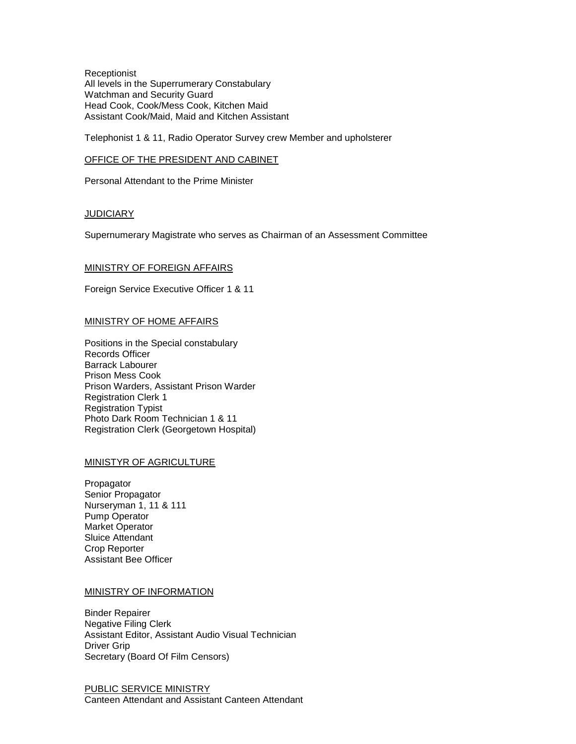**Receptionist** All levels in the Superrumerary Constabulary Watchman and Security Guard Head Cook, Cook/Mess Cook, Kitchen Maid Assistant Cook/Maid, Maid and Kitchen Assistant

Telephonist 1 & 11, Radio Operator Survey crew Member and upholsterer

#### OFFICE OF THE PRESIDENT AND CABINET

Personal Attendant to the Prime Minister

# **JUDICIARY**

Supernumerary Magistrate who serves as Chairman of an Assessment Committee

### MINISTRY OF FOREIGN AFFAIRS

Foreign Service Executive Officer 1 & 11

### MINISTRY OF HOME AFFAIRS

Positions in the Special constabulary Records Officer Barrack Labourer Prison Mess Cook Prison Warders, Assistant Prison Warder Registration Clerk 1 Registration Typist Photo Dark Room Technician 1 & 11 Registration Clerk (Georgetown Hospital)

# MINISTYR OF AGRICULTURE

Propagator Senior Propagator Nurseryman 1, 11 & 111 Pump Operator Market Operator Sluice Attendant Crop Reporter Assistant Bee Officer

#### MINISTRY OF INFORMATION

Binder Repairer Negative Filing Clerk Assistant Editor, Assistant Audio Visual Technician Driver Grip Secretary (Board Of Film Censors)

PUBLIC SERVICE MINISTRY Canteen Attendant and Assistant Canteen Attendant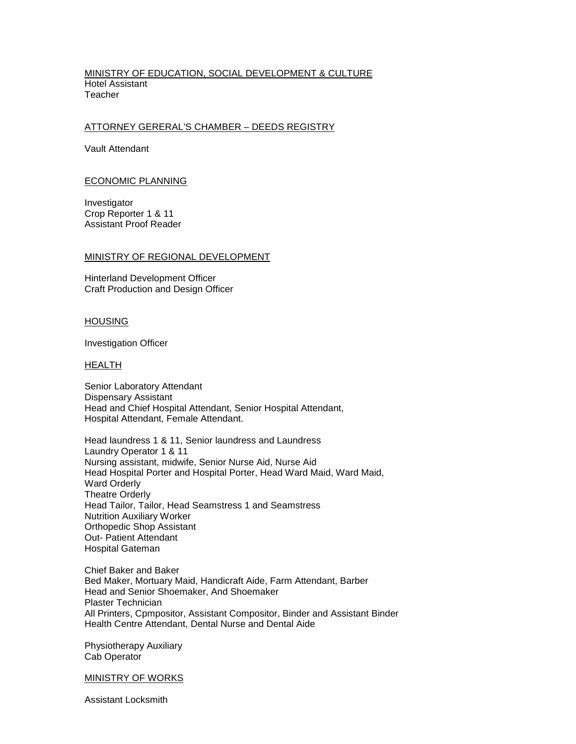#### MINISTRY OF EDUCATION, SOCIAL DEVELOPMENT & CULTURE Hotel Assistant **Teacher**

# ATTORNEY GERERAL'S CHAMBER – DEEDS REGISTRY

Vault Attendant

#### ECONOMIC PLANNING

Investigator Crop Reporter 1 & 11 Assistant Proof Reader

### MINISTRY OF REGIONAL DEVELOPMENT

Hinterland Development Officer Craft Production and Design Officer

### HOUSING

Investigation Officer

#### HEALTH

Senior Laboratory Attendant Dispensary Assistant Head and Chief Hospital Attendant, Senior Hospital Attendant, Hospital Attendant, Female Attendant.

Head laundress 1 & 11, Senior laundress and Laundress Laundry Operator 1 & 11 Nursing assistant, midwife, Senior Nurse Aid, Nurse Aid Head Hospital Porter and Hospital Porter, Head Ward Maid, Ward Maid, Ward Orderly Theatre Orderly Head Tailor, Tailor, Head Seamstress 1 and Seamstress Nutrition Auxiliary Worker Orthopedic Shop Assistant Out- Patient Attendant Hospital Gateman

Chief Baker and Baker Bed Maker, Mortuary Maid, Handicraft Aide, Farm Attendant, Barber Head and Senior Shoemaker, And Shoemaker Plaster Technician All Printers, Cpmpositor, Assistant Compositor, Binder and Assistant Binder Health Centre Attendant, Dental Nurse and Dental Aide

Physiotherapy Auxiliary Cab Operator

### MINISTRY OF WORKS

Assistant Locksmith